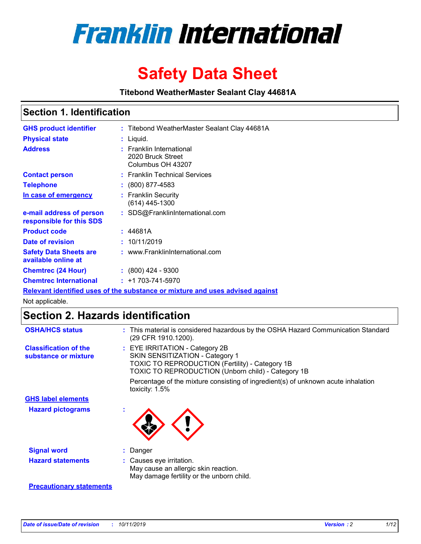

# **Safety Data Sheet**

**Titebond WeatherMaster Sealant Clay 44681A**

### **Section 1. Identification**

| <b>GHS product identifier</b>                        | : Titebond WeatherMaster Sealant Clay 44681A                                  |
|------------------------------------------------------|-------------------------------------------------------------------------------|
| <b>Physical state</b>                                | : Liquid.                                                                     |
| <b>Address</b>                                       | : Franklin International<br>2020 Bruck Street<br>Columbus OH 43207            |
| <b>Contact person</b>                                | : Franklin Technical Services                                                 |
| <b>Telephone</b>                                     | $\colon$ (800) 877-4583                                                       |
| In case of emergency                                 | : Franklin Security<br>(614) 445-1300                                         |
| e-mail address of person<br>responsible for this SDS | : SDS@FranklinInternational.com                                               |
| <b>Product code</b>                                  | : 44681A                                                                      |
| Date of revision                                     | : 10/11/2019                                                                  |
| <b>Safety Data Sheets are</b><br>available online at | : www.FranklinInternational.com                                               |
| <b>Chemtrec (24 Hour)</b>                            | $: (800)$ 424 - 9300                                                          |
| <b>Chemtrec International</b>                        | $: +1703 - 741 - 5970$                                                        |
|                                                      | Relevant identified uses of the substance or mixture and uses advised against |

Not applicable.

## **Section 2. Hazards identification**

| <b>OSHA/HCS status</b>                               | : This material is considered hazardous by the OSHA Hazard Communication Standard<br>(29 CFR 1910.1200).                                                                          |
|------------------------------------------------------|-----------------------------------------------------------------------------------------------------------------------------------------------------------------------------------|
| <b>Classification of the</b><br>substance or mixture | : EYE IRRITATION - Category 2B<br>SKIN SENSITIZATION - Category 1<br><b>TOXIC TO REPRODUCTION (Fertility) - Category 1B</b><br>TOXIC TO REPRODUCTION (Unborn child) - Category 1B |
|                                                      | Percentage of the mixture consisting of ingredient(s) of unknown acute inhalation<br>toxicity: $1.5\%$                                                                            |
| <b>GHS label elements</b>                            |                                                                                                                                                                                   |
| <b>Hazard pictograms</b>                             |                                                                                                                                                                                   |
| <b>Signal word</b>                                   | : Danger                                                                                                                                                                          |
| <b>Hazard statements</b>                             | : Causes eye irritation.<br>May cause an allergic skin reaction.<br>May damage fertility or the unborn child.                                                                     |
| <b>Precautionary statements</b>                      |                                                                                                                                                                                   |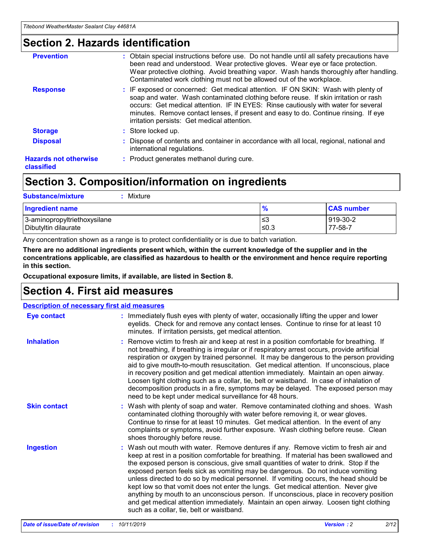### **Section 2. Hazards identification**

| <b>Prevention</b>                          | : Obtain special instructions before use. Do not handle until all safety precautions have<br>been read and understood. Wear protective gloves. Wear eye or face protection.<br>Wear protective clothing. Avoid breathing vapor. Wash hands thoroughly after handling.<br>Contaminated work clothing must not be allowed out of the workplace.                                                        |
|--------------------------------------------|------------------------------------------------------------------------------------------------------------------------------------------------------------------------------------------------------------------------------------------------------------------------------------------------------------------------------------------------------------------------------------------------------|
| <b>Response</b>                            | : IF exposed or concerned: Get medical attention. IF ON SKIN: Wash with plenty of<br>soap and water. Wash contaminated clothing before reuse. If skin irritation or rash<br>occurs: Get medical attention. IF IN EYES: Rinse cautiously with water for several<br>minutes. Remove contact lenses, if present and easy to do. Continue rinsing. If eye<br>irritation persists: Get medical attention. |
| <b>Storage</b>                             | : Store locked up.                                                                                                                                                                                                                                                                                                                                                                                   |
| <b>Disposal</b>                            | : Dispose of contents and container in accordance with all local, regional, national and<br>international regulations.                                                                                                                                                                                                                                                                               |
| <b>Hazards not otherwise</b><br>classified | : Product generates methanol during cure.                                                                                                                                                                                                                                                                                                                                                            |
|                                            |                                                                                                                                                                                                                                                                                                                                                                                                      |

### **Section 3. Composition/information on ingredients**

| <b>Substance/mixture</b><br>: Mixture                |               |                     |
|------------------------------------------------------|---------------|---------------------|
| Ingredient name                                      | $\frac{9}{6}$ | <b>CAS number</b>   |
| 3-aminopropyltriethoxysilane<br>Dibutyltin dilaurate | צ≥<br>≤0.3    | 919-30-2<br>77-58-7 |

Any concentration shown as a range is to protect confidentiality or is due to batch variation.

**There are no additional ingredients present which, within the current knowledge of the supplier and in the concentrations applicable, are classified as hazardous to health or the environment and hence require reporting in this section.**

**Occupational exposure limits, if available, are listed in Section 8.**

### **Section 4. First aid measures**

| <b>Description of necessary first aid measures</b> |                                                                                                                                                                                                                                                                                                                                                                                                                                                                                                                                                                                                                                                                                                                                                                           |  |  |  |
|----------------------------------------------------|---------------------------------------------------------------------------------------------------------------------------------------------------------------------------------------------------------------------------------------------------------------------------------------------------------------------------------------------------------------------------------------------------------------------------------------------------------------------------------------------------------------------------------------------------------------------------------------------------------------------------------------------------------------------------------------------------------------------------------------------------------------------------|--|--|--|
| <b>Eye contact</b>                                 | : Immediately flush eyes with plenty of water, occasionally lifting the upper and lower<br>eyelids. Check for and remove any contact lenses. Continue to rinse for at least 10<br>minutes. If irritation persists, get medical attention.                                                                                                                                                                                                                                                                                                                                                                                                                                                                                                                                 |  |  |  |
| <b>Inhalation</b>                                  | : Remove victim to fresh air and keep at rest in a position comfortable for breathing. If<br>not breathing, if breathing is irregular or if respiratory arrest occurs, provide artificial<br>respiration or oxygen by trained personnel. It may be dangerous to the person providing<br>aid to give mouth-to-mouth resuscitation. Get medical attention. If unconscious, place<br>in recovery position and get medical attention immediately. Maintain an open airway.<br>Loosen tight clothing such as a collar, tie, belt or waistband. In case of inhalation of<br>decomposition products in a fire, symptoms may be delayed. The exposed person may<br>need to be kept under medical surveillance for 48 hours.                                                       |  |  |  |
| <b>Skin contact</b>                                | : Wash with plenty of soap and water. Remove contaminated clothing and shoes. Wash<br>contaminated clothing thoroughly with water before removing it, or wear gloves.<br>Continue to rinse for at least 10 minutes. Get medical attention. In the event of any<br>complaints or symptoms, avoid further exposure. Wash clothing before reuse. Clean<br>shoes thoroughly before reuse.                                                                                                                                                                                                                                                                                                                                                                                     |  |  |  |
| <b>Ingestion</b>                                   | : Wash out mouth with water. Remove dentures if any. Remove victim to fresh air and<br>keep at rest in a position comfortable for breathing. If material has been swallowed and<br>the exposed person is conscious, give small quantities of water to drink. Stop if the<br>exposed person feels sick as vomiting may be dangerous. Do not induce vomiting<br>unless directed to do so by medical personnel. If vomiting occurs, the head should be<br>kept low so that vomit does not enter the lungs. Get medical attention. Never give<br>anything by mouth to an unconscious person. If unconscious, place in recovery position<br>and get medical attention immediately. Maintain an open airway. Loosen tight clothing<br>such as a collar, tie, belt or waistband. |  |  |  |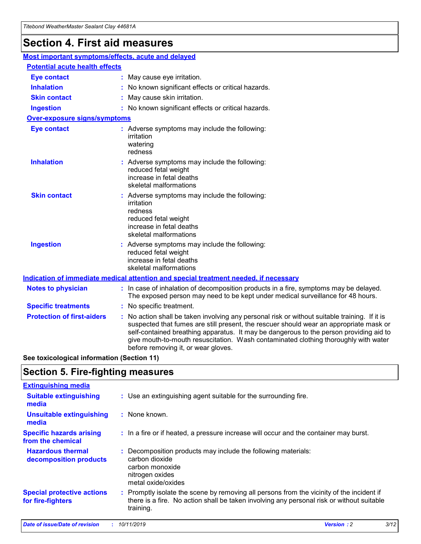## **Section 4. First aid measures**

| Most important symptoms/effects, acute and delayed |                                       |                                                                                                                                                                                                                                                                                                                                                                                                                 |  |  |  |
|----------------------------------------------------|---------------------------------------|-----------------------------------------------------------------------------------------------------------------------------------------------------------------------------------------------------------------------------------------------------------------------------------------------------------------------------------------------------------------------------------------------------------------|--|--|--|
|                                                    | <b>Potential acute health effects</b> |                                                                                                                                                                                                                                                                                                                                                                                                                 |  |  |  |
| <b>Eye contact</b>                                 |                                       | : May cause eye irritation.                                                                                                                                                                                                                                                                                                                                                                                     |  |  |  |
| <b>Inhalation</b>                                  |                                       | : No known significant effects or critical hazards.                                                                                                                                                                                                                                                                                                                                                             |  |  |  |
| <b>Skin contact</b>                                |                                       | : May cause skin irritation.                                                                                                                                                                                                                                                                                                                                                                                    |  |  |  |
| <b>Ingestion</b>                                   |                                       | : No known significant effects or critical hazards.                                                                                                                                                                                                                                                                                                                                                             |  |  |  |
| Over-exposure signs/symptoms                       |                                       |                                                                                                                                                                                                                                                                                                                                                                                                                 |  |  |  |
| <b>Eye contact</b>                                 |                                       | : Adverse symptoms may include the following:<br>irritation<br>watering<br>redness                                                                                                                                                                                                                                                                                                                              |  |  |  |
| <b>Inhalation</b>                                  |                                       | : Adverse symptoms may include the following:<br>reduced fetal weight<br>increase in fetal deaths<br>skeletal malformations                                                                                                                                                                                                                                                                                     |  |  |  |
| <b>Skin contact</b>                                |                                       | : Adverse symptoms may include the following:<br>irritation<br>redness<br>reduced fetal weight<br>increase in fetal deaths<br>skeletal malformations                                                                                                                                                                                                                                                            |  |  |  |
| <b>Ingestion</b>                                   |                                       | : Adverse symptoms may include the following:<br>reduced fetal weight<br>increase in fetal deaths<br>skeletal malformations                                                                                                                                                                                                                                                                                     |  |  |  |
|                                                    |                                       | <b>Indication of immediate medical attention and special treatment needed, if necessary</b>                                                                                                                                                                                                                                                                                                                     |  |  |  |
| <b>Notes to physician</b>                          |                                       | : In case of inhalation of decomposition products in a fire, symptoms may be delayed.<br>The exposed person may need to be kept under medical surveillance for 48 hours.                                                                                                                                                                                                                                        |  |  |  |
| <b>Specific treatments</b>                         |                                       | : No specific treatment.                                                                                                                                                                                                                                                                                                                                                                                        |  |  |  |
| <b>Protection of first-aiders</b>                  |                                       | : No action shall be taken involving any personal risk or without suitable training. If it is<br>suspected that fumes are still present, the rescuer should wear an appropriate mask or<br>self-contained breathing apparatus. It may be dangerous to the person providing aid to<br>give mouth-to-mouth resuscitation. Wash contaminated clothing thoroughly with water<br>before removing it, or wear gloves. |  |  |  |

**See toxicological information (Section 11)**

### **Section 5. Fire-fighting measures**

| <b>Extinguishing media</b>                             |                                                                                                                                                                                                     |
|--------------------------------------------------------|-----------------------------------------------------------------------------------------------------------------------------------------------------------------------------------------------------|
| <b>Suitable extinguishing</b><br>media                 | : Use an extinguishing agent suitable for the surrounding fire.                                                                                                                                     |
| <b>Unsuitable extinguishing</b><br>media               | : None known.                                                                                                                                                                                       |
| <b>Specific hazards arising</b><br>from the chemical   | : In a fire or if heated, a pressure increase will occur and the container may burst.                                                                                                               |
| <b>Hazardous thermal</b><br>decomposition products     | : Decomposition products may include the following materials:<br>carbon dioxide<br>carbon monoxide<br>nitrogen oxides<br>metal oxide/oxides                                                         |
| <b>Special protective actions</b><br>for fire-fighters | : Promptly isolate the scene by removing all persons from the vicinity of the incident if<br>there is a fire. No action shall be taken involving any personal risk or without suitable<br>training. |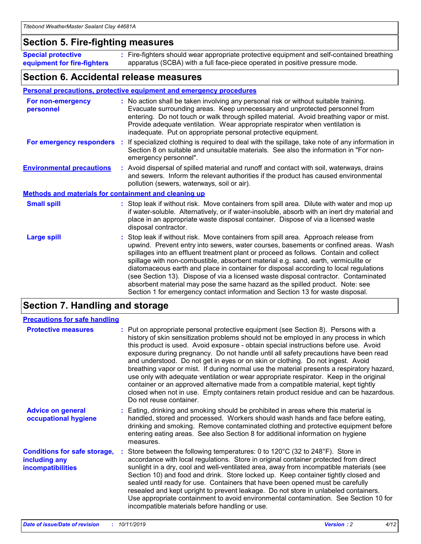### **Section 5. Fire-fighting measures**

**Special protective equipment for fire-fighters** Fire-fighters should wear appropriate protective equipment and self-contained breathing **:** apparatus (SCBA) with a full face-piece operated in positive pressure mode.

### **Section 6. Accidental release measures**

#### **Personal precautions, protective equipment and emergency procedures**

| For non-emergency<br>personnel                               | : No action shall be taken involving any personal risk or without suitable training.<br>Evacuate surrounding areas. Keep unnecessary and unprotected personnel from<br>entering. Do not touch or walk through spilled material. Avoid breathing vapor or mist.<br>Provide adequate ventilation. Wear appropriate respirator when ventilation is<br>inadequate. Put on appropriate personal protective equipment.                                                                                                                                                                                                                                                                                             |
|--------------------------------------------------------------|--------------------------------------------------------------------------------------------------------------------------------------------------------------------------------------------------------------------------------------------------------------------------------------------------------------------------------------------------------------------------------------------------------------------------------------------------------------------------------------------------------------------------------------------------------------------------------------------------------------------------------------------------------------------------------------------------------------|
|                                                              | For emergency responders : If specialized clothing is required to deal with the spillage, take note of any information in<br>Section 8 on suitable and unsuitable materials. See also the information in "For non-<br>emergency personnel".                                                                                                                                                                                                                                                                                                                                                                                                                                                                  |
| <b>Environmental precautions</b>                             | : Avoid dispersal of spilled material and runoff and contact with soil, waterways, drains<br>and sewers. Inform the relevant authorities if the product has caused environmental<br>pollution (sewers, waterways, soil or air).                                                                                                                                                                                                                                                                                                                                                                                                                                                                              |
| <b>Methods and materials for containment and cleaning up</b> |                                                                                                                                                                                                                                                                                                                                                                                                                                                                                                                                                                                                                                                                                                              |
| <b>Small spill</b>                                           | : Stop leak if without risk. Move containers from spill area. Dilute with water and mop up<br>if water-soluble. Alternatively, or if water-insoluble, absorb with an inert dry material and<br>place in an appropriate waste disposal container. Dispose of via a licensed waste<br>disposal contractor.                                                                                                                                                                                                                                                                                                                                                                                                     |
| <b>Large spill</b>                                           | : Stop leak if without risk. Move containers from spill area. Approach release from<br>upwind. Prevent entry into sewers, water courses, basements or confined areas. Wash<br>spillages into an effluent treatment plant or proceed as follows. Contain and collect<br>spillage with non-combustible, absorbent material e.g. sand, earth, vermiculite or<br>diatomaceous earth and place in container for disposal according to local regulations<br>(see Section 13). Dispose of via a licensed waste disposal contractor. Contaminated<br>absorbent material may pose the same hazard as the spilled product. Note: see<br>Section 1 for emergency contact information and Section 13 for waste disposal. |

### **Section 7. Handling and storage**

| <b>Precautions for safe handling</b>                                             |                                                                                                                                                                                                                                                                                                                                                                                                                                                                                                                                                                                                                                                                                                                                                                                                                                                  |
|----------------------------------------------------------------------------------|--------------------------------------------------------------------------------------------------------------------------------------------------------------------------------------------------------------------------------------------------------------------------------------------------------------------------------------------------------------------------------------------------------------------------------------------------------------------------------------------------------------------------------------------------------------------------------------------------------------------------------------------------------------------------------------------------------------------------------------------------------------------------------------------------------------------------------------------------|
| <b>Protective measures</b>                                                       | : Put on appropriate personal protective equipment (see Section 8). Persons with a<br>history of skin sensitization problems should not be employed in any process in which<br>this product is used. Avoid exposure - obtain special instructions before use. Avoid<br>exposure during pregnancy. Do not handle until all safety precautions have been read<br>and understood. Do not get in eyes or on skin or clothing. Do not ingest. Avoid<br>breathing vapor or mist. If during normal use the material presents a respiratory hazard,<br>use only with adequate ventilation or wear appropriate respirator. Keep in the original<br>container or an approved alternative made from a compatible material, kept tightly<br>closed when not in use. Empty containers retain product residue and can be hazardous.<br>Do not reuse container. |
| <b>Advice on general</b><br>occupational hygiene                                 | : Eating, drinking and smoking should be prohibited in areas where this material is<br>handled, stored and processed. Workers should wash hands and face before eating,<br>drinking and smoking. Remove contaminated clothing and protective equipment before<br>entering eating areas. See also Section 8 for additional information on hygiene<br>measures.                                                                                                                                                                                                                                                                                                                                                                                                                                                                                    |
| <b>Conditions for safe storage,</b><br>including any<br><b>incompatibilities</b> | Store between the following temperatures: 0 to 120°C (32 to 248°F). Store in<br>accordance with local regulations. Store in original container protected from direct<br>sunlight in a dry, cool and well-ventilated area, away from incompatible materials (see<br>Section 10) and food and drink. Store locked up. Keep container tightly closed and<br>sealed until ready for use. Containers that have been opened must be carefully<br>resealed and kept upright to prevent leakage. Do not store in unlabeled containers.<br>Use appropriate containment to avoid environmental contamination. See Section 10 for<br>incompatible materials before handling or use.                                                                                                                                                                         |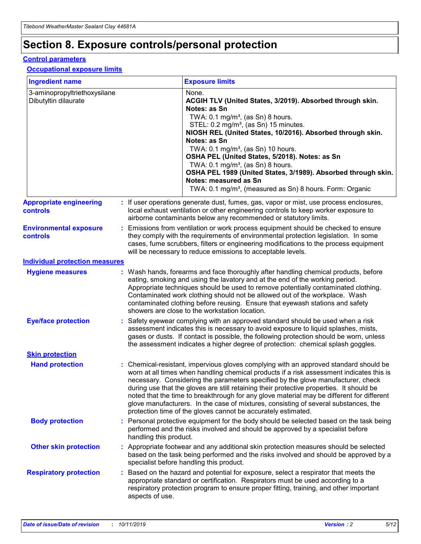## **Section 8. Exposure controls/personal protection**

#### **Control parameters**

#### **Occupational exposure limits**

| <b>Ingredient name</b>                               |    |                        | <b>Exposure limits</b>                                                                                                                                                                                                                                                                                                                                                                                                                                                                                                                                                                                                 |
|------------------------------------------------------|----|------------------------|------------------------------------------------------------------------------------------------------------------------------------------------------------------------------------------------------------------------------------------------------------------------------------------------------------------------------------------------------------------------------------------------------------------------------------------------------------------------------------------------------------------------------------------------------------------------------------------------------------------------|
| 3-aminopropyltriethoxysilane<br>Dibutyltin dilaurate |    |                        | None.<br>ACGIH TLV (United States, 3/2019). Absorbed through skin.<br>Notes: as Sn<br>TWA: $0.1 \text{ mg/m}^3$ , (as Sn) 8 hours.<br>STEL: 0.2 mg/m <sup>3</sup> , (as Sn) 15 minutes.<br>NIOSH REL (United States, 10/2016). Absorbed through skin.<br>Notes: as Sn<br>TWA: 0.1 mg/m <sup>3</sup> , (as Sn) 10 hours.<br>OSHA PEL (United States, 5/2018). Notes: as Sn<br>TWA: 0.1 mg/m <sup>3</sup> , (as Sn) 8 hours.<br>OSHA PEL 1989 (United States, 3/1989). Absorbed through skin.<br>Notes: measured as Sn<br>TWA: 0.1 mg/m <sup>3</sup> , (measured as Sn) 8 hours. Form: Organic                           |
| <b>Appropriate engineering</b><br>controls           |    |                        | : If user operations generate dust, fumes, gas, vapor or mist, use process enclosures,<br>local exhaust ventilation or other engineering controls to keep worker exposure to<br>airborne contaminants below any recommended or statutory limits.                                                                                                                                                                                                                                                                                                                                                                       |
| <b>Environmental exposure</b><br>controls            |    |                        | Emissions from ventilation or work process equipment should be checked to ensure<br>they comply with the requirements of environmental protection legislation. In some<br>cases, fume scrubbers, filters or engineering modifications to the process equipment<br>will be necessary to reduce emissions to acceptable levels.                                                                                                                                                                                                                                                                                          |
| <b>Individual protection measures</b>                |    |                        |                                                                                                                                                                                                                                                                                                                                                                                                                                                                                                                                                                                                                        |
| <b>Hygiene measures</b>                              |    |                        | : Wash hands, forearms and face thoroughly after handling chemical products, before<br>eating, smoking and using the lavatory and at the end of the working period.<br>Appropriate techniques should be used to remove potentially contaminated clothing.<br>Contaminated work clothing should not be allowed out of the workplace. Wash<br>contaminated clothing before reusing. Ensure that eyewash stations and safety<br>showers are close to the workstation location.                                                                                                                                            |
| <b>Eye/face protection</b>                           |    |                        | Safety eyewear complying with an approved standard should be used when a risk<br>assessment indicates this is necessary to avoid exposure to liquid splashes, mists,<br>gases or dusts. If contact is possible, the following protection should be worn, unless<br>the assessment indicates a higher degree of protection: chemical splash goggles.                                                                                                                                                                                                                                                                    |
| <b>Skin protection</b>                               |    |                        |                                                                                                                                                                                                                                                                                                                                                                                                                                                                                                                                                                                                                        |
| <b>Hand protection</b>                               |    |                        | : Chemical-resistant, impervious gloves complying with an approved standard should be<br>worn at all times when handling chemical products if a risk assessment indicates this is<br>necessary. Considering the parameters specified by the glove manufacturer, check<br>during use that the gloves are still retaining their protective properties. It should be<br>noted that the time to breakthrough for any glove material may be different for different<br>glove manufacturers. In the case of mixtures, consisting of several substances, the<br>protection time of the gloves cannot be accurately estimated. |
| <b>Body protection</b>                               |    | handling this product. | Personal protective equipment for the body should be selected based on the task being<br>performed and the risks involved and should be approved by a specialist before                                                                                                                                                                                                                                                                                                                                                                                                                                                |
| <b>Other skin protection</b>                         |    |                        | : Appropriate footwear and any additional skin protection measures should be selected<br>based on the task being performed and the risks involved and should be approved by a<br>specialist before handling this product.                                                                                                                                                                                                                                                                                                                                                                                              |
| <b>Respiratory protection</b>                        | ÷. | aspects of use.        | Based on the hazard and potential for exposure, select a respirator that meets the<br>appropriate standard or certification. Respirators must be used according to a<br>respiratory protection program to ensure proper fitting, training, and other important                                                                                                                                                                                                                                                                                                                                                         |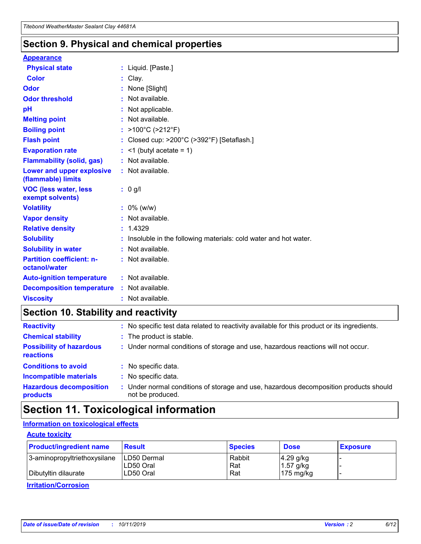### **Section 9. Physical and chemical properties**

#### **Appearance**

| <b>Physical state</b>                             | : Liquid. [Paste.]                                              |
|---------------------------------------------------|-----------------------------------------------------------------|
| Color                                             | Clay.                                                           |
| Odor                                              | : None [Slight]                                                 |
| <b>Odor threshold</b>                             | : Not available.                                                |
| рH                                                | : Not applicable.                                               |
| <b>Melting point</b>                              | : Not available.                                                |
| <b>Boiling point</b>                              | : >100°C (>212°F)                                               |
| <b>Flash point</b>                                | : Closed cup: >200°C (>392°F) [Setaflash.]                      |
| <b>Evaporation rate</b>                           | $:$ <1 (butyl acetate = 1)                                      |
| <b>Flammability (solid, gas)</b>                  | : Not available.                                                |
| Lower and upper explosive<br>(flammable) limits   | : Not available.                                                |
| <b>VOC (less water, less</b><br>exempt solvents)  | : 0 g/l                                                         |
| <b>Volatility</b>                                 | $: 0\%$ (w/w)                                                   |
| <b>Vapor density</b>                              | : Not available.                                                |
| <b>Relative density</b>                           | : 1.4329                                                        |
| <b>Solubility</b>                                 | Insoluble in the following materials: cold water and hot water. |
| <b>Solubility in water</b>                        | : Not available.                                                |
| <b>Partition coefficient: n-</b><br>octanol/water | $:$ Not available.                                              |
| <b>Auto-ignition temperature</b>                  | : Not available.                                                |
| <b>Decomposition temperature</b>                  | : Not available.                                                |
| <b>Viscosity</b>                                  |                                                                 |

### **Section 10. Stability and reactivity**

| <b>Reactivity</b>                            |    | : No specific test data related to reactivity available for this product or its ingredients.            |
|----------------------------------------------|----|---------------------------------------------------------------------------------------------------------|
| <b>Chemical stability</b>                    |    | : The product is stable.                                                                                |
| <b>Possibility of hazardous</b><br>reactions |    | : Under normal conditions of storage and use, hazardous reactions will not occur.                       |
| <b>Conditions to avoid</b>                   |    | : No specific data.                                                                                     |
| <b>Incompatible materials</b>                | ٠. | No specific data.                                                                                       |
| <b>Hazardous decomposition</b><br>products   | ÷. | Under normal conditions of storage and use, hazardous decomposition products should<br>not be produced. |

### **Section 11. Toxicological information**

### **Information on toxicological effects**

#### **Acute toxicity**

| <b>Product/ingredient name</b> | <b>Result</b>           | <b>Species</b> | <b>Dose</b>                | <b>Exposure</b> |
|--------------------------------|-------------------------|----------------|----------------------------|-----------------|
| 3-aminopropyltriethoxysilane   | <b>ILD50 Dermal</b>     | Rabbit         | 4.29 g/kg                  |                 |
| Dibutyltin dilaurate           | ILD50 Oral<br>LD50 Oral | Rat<br>Rat     | $1.57$ g/kg<br>175 $mg/kg$ |                 |
|                                |                         |                |                            |                 |

**Irritation/Corrosion**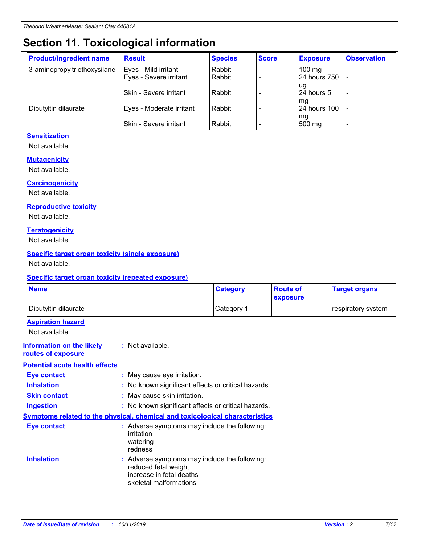## **Section 11. Toxicological information**

| <b>Product/ingredient name</b> | <b>Result</b>            | <b>Species</b> | <b>Score</b> | <b>Exposure</b>           | <b>Observation</b> |
|--------------------------------|--------------------------|----------------|--------------|---------------------------|--------------------|
| 3-aminopropyltriethoxysilane   | Eyes - Mild irritant     | Rabbit         |              | $100$ mg                  |                    |
|                                | Eyes - Severe irritant   | Rabbit         |              | 24 hours 750              |                    |
|                                |                          |                |              | ug                        |                    |
|                                | Skin - Severe irritant   | Rabbit         |              | 24 hours 5                | -                  |
| Dibutyltin dilaurate           | Eyes - Moderate irritant | Rabbit         |              | mq<br><b>24 hours 100</b> |                    |
|                                |                          |                |              | mg                        |                    |
|                                | Skin - Severe irritant   | Rabbit         |              | 500 mg                    |                    |

### **Sensitization**

Not available.

#### **Mutagenicity**

Not available.

#### **Carcinogenicity**

Not available.

#### **Reproductive toxicity**

Not available.

#### **Teratogenicity**

Not available.

#### **Specific target organ toxicity (single exposure)**

Not available.

#### **Specific target organ toxicity (repeated exposure)**

| <b>Name</b>                                                                         |                                                                            | <b>Category</b>                                     | <b>Route of</b><br>exposure | <b>Target organs</b> |
|-------------------------------------------------------------------------------------|----------------------------------------------------------------------------|-----------------------------------------------------|-----------------------------|----------------------|
| Dibutyltin dilaurate                                                                |                                                                            | Category 1                                          |                             | respiratory system   |
| <b>Aspiration hazard</b><br>Not available.                                          |                                                                            |                                                     |                             |                      |
| <b>Information on the likely</b><br>routes of exposure                              | : Not available.                                                           |                                                     |                             |                      |
| <b>Potential acute health effects</b>                                               |                                                                            |                                                     |                             |                      |
| <b>Eye contact</b>                                                                  | : May cause eye irritation.                                                |                                                     |                             |                      |
| <b>Inhalation</b>                                                                   |                                                                            | : No known significant effects or critical hazards. |                             |                      |
| <b>Skin contact</b>                                                                 | : May cause skin irritation.                                               |                                                     |                             |                      |
| <b>Ingestion</b>                                                                    |                                                                            | : No known significant effects or critical hazards. |                             |                      |
| <b>Symptoms related to the physical, chemical and toxicological characteristics</b> |                                                                            |                                                     |                             |                      |
| <b>Eye contact</b>                                                                  | irritation<br>watering<br>redness                                          | : Adverse symptoms may include the following:       |                             |                      |
| <b>Inhalation</b>                                                                   | reduced fetal weight<br>increase in fetal deaths<br>skeletal malformations | : Adverse symptoms may include the following:       |                             |                      |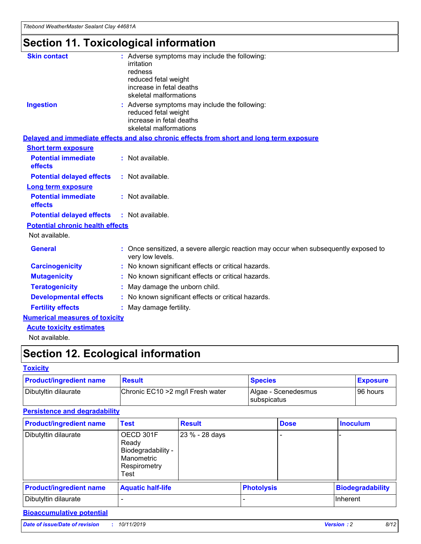## **Section 11. Toxicological information**

| <b>Skin contact</b>                     | : Adverse symptoms may include the following:<br>irritation<br>redness<br>reduced fetal weight<br>increase in fetal deaths<br>skeletal malformations |
|-----------------------------------------|------------------------------------------------------------------------------------------------------------------------------------------------------|
| <b>Ingestion</b>                        | : Adverse symptoms may include the following:<br>reduced fetal weight<br>increase in fetal deaths<br>skeletal malformations                          |
|                                         | Delayed and immediate effects and also chronic effects from short and long term exposure                                                             |
| <b>Short term exposure</b>              |                                                                                                                                                      |
| <b>Potential immediate</b><br>effects   | : Not available.                                                                                                                                     |
| <b>Potential delayed effects</b>        | : Not available.                                                                                                                                     |
| <b>Long term exposure</b>               |                                                                                                                                                      |
| <b>Potential immediate</b><br>effects   | : Not available.                                                                                                                                     |
| <b>Potential delayed effects</b>        | : Not available.                                                                                                                                     |
| <b>Potential chronic health effects</b> |                                                                                                                                                      |
| Not available.                          |                                                                                                                                                      |
| <b>General</b>                          | : Once sensitized, a severe allergic reaction may occur when subsequently exposed to<br>very low levels.                                             |
| <b>Carcinogenicity</b>                  | : No known significant effects or critical hazards.                                                                                                  |
| <b>Mutagenicity</b>                     | No known significant effects or critical hazards.                                                                                                    |
| <b>Teratogenicity</b>                   | May damage the unborn child.                                                                                                                         |
| <b>Developmental effects</b>            | No known significant effects or critical hazards.                                                                                                    |
| <b>Fertility effects</b>                | : May damage fertility.                                                                                                                              |
| <b>Numerical measures of toxicity</b>   |                                                                                                                                                      |
| <b>Acute toxicity estimates</b>         |                                                                                                                                                      |
|                                         |                                                                                                                                                      |

Not available.

## **Section 12. Ecological information**

#### **Toxicity**

| <b>Product/ingredient name</b> | <b>Result</b>                     | <b>Species</b>                       | <b>Exposure</b> |
|--------------------------------|-----------------------------------|--------------------------------------|-----------------|
| Dibutyltin dilaurate           | Chronic EC10 > 2 mg/l Fresh water | Algae - Scenedesmus<br>I subspicatus | l 96 hours      |

### **Persistence and degradability**

| <b>Product/ingredient name</b> | <b>Test</b>                                                                    | <b>Result</b>  |                   | <b>Dose</b> | <b>Inoculum</b>         |
|--------------------------------|--------------------------------------------------------------------------------|----------------|-------------------|-------------|-------------------------|
| Dibutyltin dilaurate           | OECD 301F<br>Ready<br>Biodegradability -<br>Manometric<br>Respirometry<br>Test | 23 % - 28 days |                   |             |                         |
| <b>Product/ingredient name</b> | <b>Aquatic half-life</b>                                                       |                | <b>Photolysis</b> |             | <b>Biodegradability</b> |
| Dibutyltin dilaurate           |                                                                                |                |                   |             | Inherent                |

### **Bioaccumulative potential**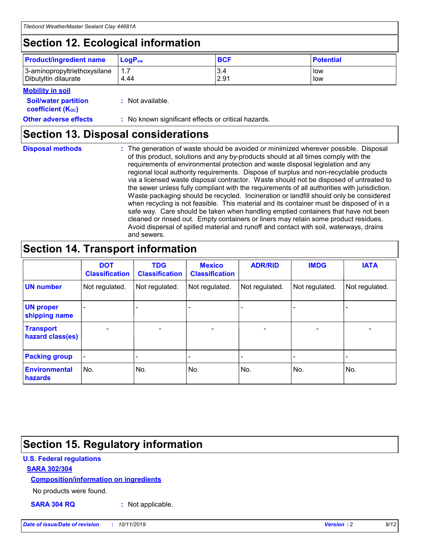## **Section 12. Ecological information**

| <b>Product/ingredient name</b> | $LoaPow$ | <b>BCF</b> | <b>Potential</b> |
|--------------------------------|----------|------------|------------------|
| 3-aminopropyltriethoxysilane   | 1.7      | 3.4        | low              |
| Dibutyltin dilaurate           | 4.44     | 2.91       | low              |

#### **Mobility in soil**

| <b>Soil/water partition</b><br>coefficient (K <sub>oc</sub> ) | : Not available.                                    |
|---------------------------------------------------------------|-----------------------------------------------------|
| <b>Other adverse effects</b>                                  | : No known significant effects or critical hazards. |

### **Section 13. Disposal considerations**

|  | <b>Disposal methods</b> |  |
|--|-------------------------|--|

**Disposal methods** : The generation of waste should be avoided or minimized wherever possible. Disposal of this product, solutions and any by-products should at all times comply with the requirements of environmental protection and waste disposal legislation and any regional local authority requirements. Dispose of surplus and non-recyclable products via a licensed waste disposal contractor. Waste should not be disposed of untreated to the sewer unless fully compliant with the requirements of all authorities with jurisdiction. Waste packaging should be recycled. Incineration or landfill should only be considered when recycling is not feasible. This material and its container must be disposed of in a safe way. Care should be taken when handling emptied containers that have not been cleaned or rinsed out. Empty containers or liners may retain some product residues. Avoid dispersal of spilled material and runoff and contact with soil, waterways, drains and sewers.

## **Section 14. Transport information**

|                                      | <b>DOT</b><br><b>Classification</b> | <b>TDG</b><br><b>Classification</b> | <b>Mexico</b><br><b>Classification</b> | <b>ADR/RID</b>           | <b>IMDG</b>     | <b>IATA</b>              |
|--------------------------------------|-------------------------------------|-------------------------------------|----------------------------------------|--------------------------|-----------------|--------------------------|
| <b>UN number</b>                     | Not regulated.                      | Not regulated.                      | Not regulated.                         | Not regulated.           | Not regulated.  | Not regulated.           |
| <b>UN proper</b><br>shipping name    | $\qquad \qquad$                     |                                     |                                        |                          |                 |                          |
| <b>Transport</b><br>hazard class(es) | $\overline{\phantom{m}}$            | $\qquad \qquad$                     | $\qquad \qquad$                        | $\overline{\phantom{a}}$ | $\qquad \qquad$ | $\overline{\phantom{0}}$ |
| <b>Packing group</b>                 | $\overline{\phantom{a}}$            | -                                   |                                        |                          |                 |                          |
| <b>Environmental</b><br>hazards      | No.                                 | No.                                 | No.                                    | No.                      | No.             | No.                      |

## **Section 15. Regulatory information**

#### **U.S. Federal regulations**

#### **SARA 302/304**

#### **Composition/information on ingredients**

No products were found.

**SARA 304 RQ :** Not applicable.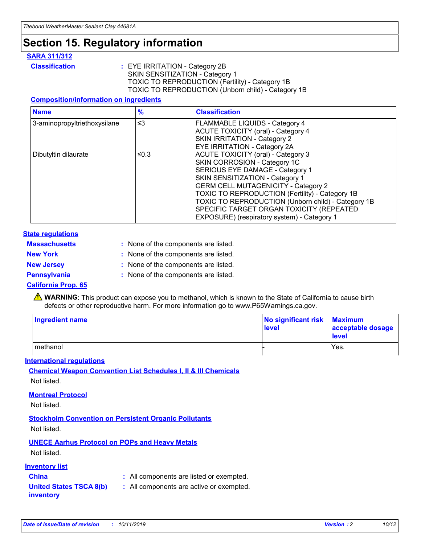## **Section 15. Regulatory information**

#### **SARA 311/312**

**Classification :** EYE IRRITATION - Category 2B SKIN SENSITIZATION - Category 1 TOXIC TO REPRODUCTION (Fertility) - Category 1B TOXIC TO REPRODUCTION (Unborn child) - Category 1B

#### **Composition/information on ingredients**

| <b>Name</b>                  | $\frac{9}{6}$ | <b>Classification</b>                                                                                                                                                                                                                                                                                                                  |
|------------------------------|---------------|----------------------------------------------------------------------------------------------------------------------------------------------------------------------------------------------------------------------------------------------------------------------------------------------------------------------------------------|
| 3-aminopropyltriethoxysilane | $\leq$ 3      | <b>FLAMMABLE LIQUIDS - Category 4</b><br><b>ACUTE TOXICITY (oral) - Category 4</b><br>SKIN IRRITATION - Category 2                                                                                                                                                                                                                     |
| Dibutyltin dilaurate         | ≤0.3          | EYE IRRITATION - Category 2A<br><b>ACUTE TOXICITY (oral) - Category 3</b><br>SKIN CORROSION - Category 1C<br>SERIOUS EYE DAMAGE - Category 1<br>SKIN SENSITIZATION - Category 1<br><b>GERM CELL MUTAGENICITY - Category 2</b><br>TOXIC TO REPRODUCTION (Fertility) - Category 1B<br>TOXIC TO REPRODUCTION (Unborn child) - Category 1B |
|                              |               | SPECIFIC TARGET ORGAN TOXICITY (REPEATED<br>EXPOSURE) (respiratory system) - Category 1                                                                                                                                                                                                                                                |

#### **State regulations**

| <b>Massachusetts</b> | : None of the components are listed. |
|----------------------|--------------------------------------|
| <b>New York</b>      | : None of the components are listed. |
| <b>New Jersey</b>    | : None of the components are listed. |
| Pennsylvania         | : None of the components are listed. |

#### **California Prop. 65**

**A** WARNING: This product can expose you to methanol, which is known to the State of California to cause birth defects or other reproductive harm. For more information go to www.P65Warnings.ca.gov.

| <b>Ingredient name</b> | No significant risk Maximum<br>level | acceptable dosage<br>level |
|------------------------|--------------------------------------|----------------------------|
| methanol               |                                      | Yes.                       |

#### **International regulations**

**Chemical Weapon Convention List Schedules I, II & III Chemicals** Not listed.

#### **Montreal Protocol**

Not listed.

#### **Stockholm Convention on Persistent Organic Pollutants**

Not listed.

### **UNECE Aarhus Protocol on POPs and Heavy Metals**

Not listed.

#### **Inventory list**

### **China :** All components are listed or exempted.

**United States TSCA 8(b) inventory :** All components are active or exempted.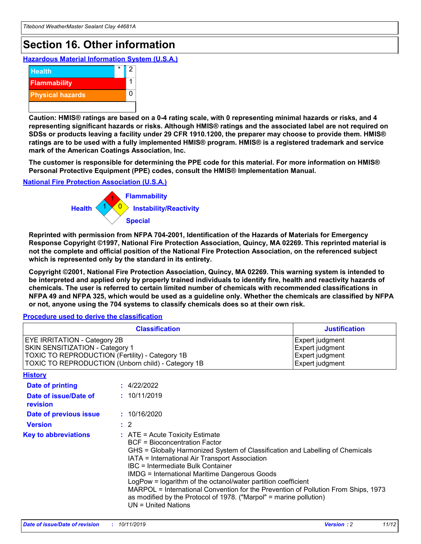## **Section 16. Other information**

**Hazardous Material Information System (U.S.A.)**



**Caution: HMIS® ratings are based on a 0-4 rating scale, with 0 representing minimal hazards or risks, and 4 representing significant hazards or risks. Although HMIS® ratings and the associated label are not required on SDSs or products leaving a facility under 29 CFR 1910.1200, the preparer may choose to provide them. HMIS® ratings are to be used with a fully implemented HMIS® program. HMIS® is a registered trademark and service mark of the American Coatings Association, Inc.**

**The customer is responsible for determining the PPE code for this material. For more information on HMIS® Personal Protective Equipment (PPE) codes, consult the HMIS® Implementation Manual.**

#### **National Fire Protection Association (U.S.A.)**



**Reprinted with permission from NFPA 704-2001, Identification of the Hazards of Materials for Emergency Response Copyright ©1997, National Fire Protection Association, Quincy, MA 02269. This reprinted material is not the complete and official position of the National Fire Protection Association, on the referenced subject which is represented only by the standard in its entirety.**

**Copyright ©2001, National Fire Protection Association, Quincy, MA 02269. This warning system is intended to be interpreted and applied only by properly trained individuals to identify fire, health and reactivity hazards of chemicals. The user is referred to certain limited number of chemicals with recommended classifications in NFPA 49 and NFPA 325, which would be used as a guideline only. Whether the chemicals are classified by NFPA or not, anyone using the 704 systems to classify chemicals does so at their own risk.**

#### **Procedure used to derive the classification**

|                                                                                                                                  | <b>Classification</b>                                                                                                                                                                                                                                                                                                                                                                                                                                                                                                                                                           | <b>Justification</b>                                                     |
|----------------------------------------------------------------------------------------------------------------------------------|---------------------------------------------------------------------------------------------------------------------------------------------------------------------------------------------------------------------------------------------------------------------------------------------------------------------------------------------------------------------------------------------------------------------------------------------------------------------------------------------------------------------------------------------------------------------------------|--------------------------------------------------------------------------|
| <b>EYE IRRITATION - Category 2B</b><br>SKIN SENSITIZATION - Category 1<br><b>TOXIC TO REPRODUCTION (Fertility) - Category 1B</b> | TOXIC TO REPRODUCTION (Unborn child) - Category 1B                                                                                                                                                                                                                                                                                                                                                                                                                                                                                                                              | Expert judgment<br>Expert judgment<br>Expert judgment<br>Expert judgment |
| <b>History</b>                                                                                                                   |                                                                                                                                                                                                                                                                                                                                                                                                                                                                                                                                                                                 |                                                                          |
| <b>Date of printing</b>                                                                                                          | : 4/22/2022                                                                                                                                                                                                                                                                                                                                                                                                                                                                                                                                                                     |                                                                          |
| Date of issue/Date of<br>revision                                                                                                | : 10/11/2019                                                                                                                                                                                                                                                                                                                                                                                                                                                                                                                                                                    |                                                                          |
| Date of previous issue                                                                                                           | : 10/16/2020                                                                                                                                                                                                                                                                                                                                                                                                                                                                                                                                                                    |                                                                          |
| <b>Version</b>                                                                                                                   | $\therefore$ 2                                                                                                                                                                                                                                                                                                                                                                                                                                                                                                                                                                  |                                                                          |
| <b>Key to abbreviations</b>                                                                                                      | $\therefore$ ATE = Acute Toxicity Estimate<br><b>BCF</b> = Bioconcentration Factor<br>GHS = Globally Harmonized System of Classification and Labelling of Chemicals<br>IATA = International Air Transport Association<br><b>IBC</b> = Intermediate Bulk Container<br><b>IMDG = International Maritime Dangerous Goods</b><br>LogPow = logarithm of the octanol/water partition coefficient<br>MARPOL = International Convention for the Prevention of Pollution From Ships, 1973<br>as modified by the Protocol of 1978. ("Marpol" = marine pollution)<br>$UN = United Nations$ |                                                                          |